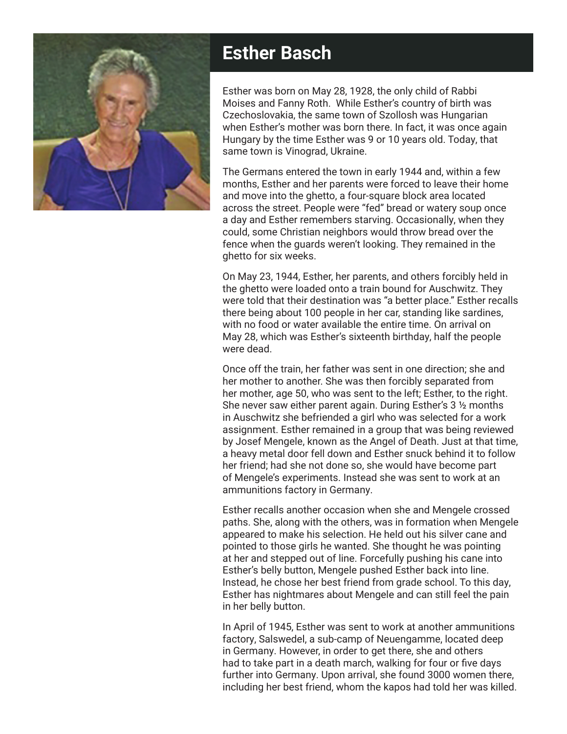

## **Esther Basch**

Esther was born on May 28, 1928, the only child of Rabbi Moises and Fanny Roth. While Esther's country of birth was Czechoslovakia, the same town of Szollosh was Hungarian when Esther's mother was born there. In fact, it was once again Hungary by the time Esther was 9 or 10 years old. Today, that same town is Vinograd, Ukraine.

The Germans entered the town in early 1944 and, within a few months, Esther and her parents were forced to leave their home and move into the ghetto, a four-square block area located across the street. People were "fed" bread or watery soup once a day and Esther remembers starving. Occasionally, when they could, some Christian neighbors would throw bread over the fence when the guards weren't looking. They remained in the ghetto for six weeks.

On May 23, 1944, Esther, her parents, and others forcibly held in the ghetto were loaded onto a train bound for Auschwitz. They were told that their destination was "a better place." Esther recalls there being about 100 people in her car, standing like sardines, with no food or water available the entire time. On arrival on May 28, which was Esther's sixteenth birthday, half the people were dead.

Once off the train, her father was sent in one direction; she and her mother to another. She was then forcibly separated from her mother, age 50, who was sent to the left; Esther, to the right. She never saw either parent again. During Esther's 3 ½ months in Auschwitz she befriended a girl who was selected for a work assignment. Esther remained in a group that was being reviewed by Josef Mengele, known as the Angel of Death. Just at that time, a heavy metal door fell down and Esther snuck behind it to follow her friend; had she not done so, she would have become part of Mengele's experiments. Instead she was sent to work at an ammunitions factory in Germany.

Esther recalls another occasion when she and Mengele crossed paths. She, along with the others, was in formation when Mengele appeared to make his selection. He held out his silver cane and pointed to those girls he wanted. She thought he was pointing at her and stepped out of line. Forcefully pushing his cane into Esther's belly button, Mengele pushed Esther back into line. Instead, he chose her best friend from grade school. To this day, Esther has nightmares about Mengele and can still feel the pain in her belly button.

In April of 1945, Esther was sent to work at another ammunitions factory, Salswedel, a sub-camp of Neuengamme, located deep in Germany. However, in order to get there, she and others had to take part in a death march, walking for four or five days further into Germany. Upon arrival, she found 3000 women there, including her best friend, whom the kapos had told her was killed.